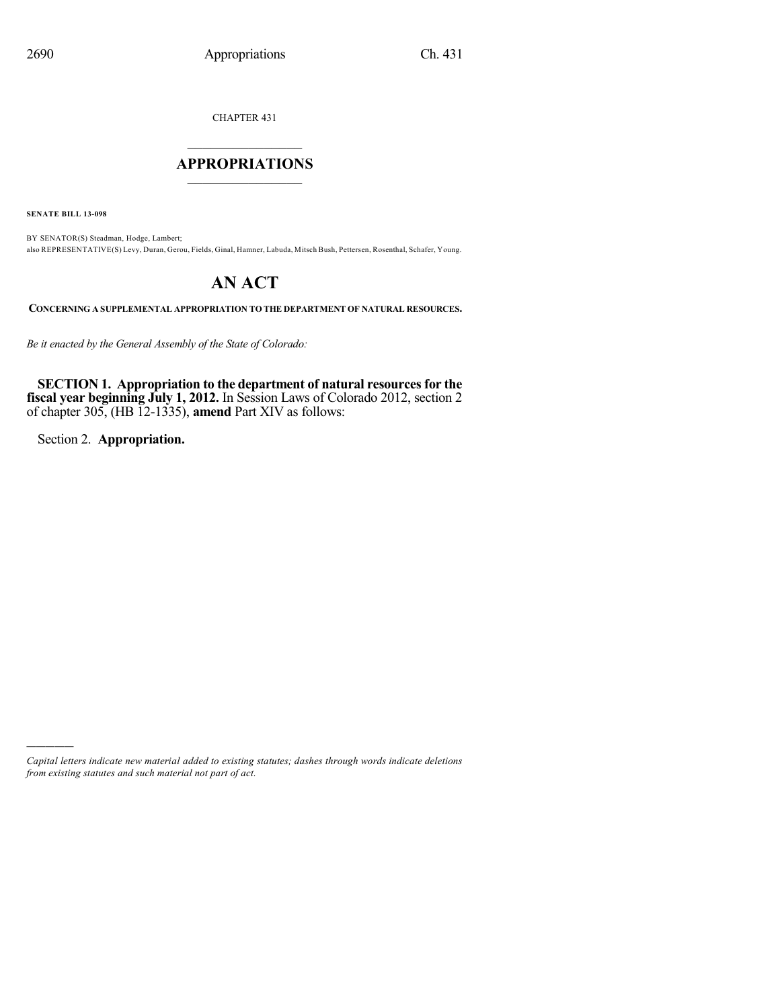CHAPTER 431

# $\overline{\phantom{a}}$  . The set of the set of the set of the set of the set of the set of the set of the set of the set of the set of the set of the set of the set of the set of the set of the set of the set of the set of the set o **APPROPRIATIONS**  $\_$   $\_$   $\_$   $\_$   $\_$   $\_$   $\_$   $\_$

**SENATE BILL 13-098**

BY SENATOR(S) Steadman, Hodge, Lambert; also REPRESENTATIVE(S) Levy, Duran, Gerou, Fields, Ginal, Hamner, Labuda, Mitsch Bush, Pettersen, Rosenthal, Schafer, Young.

# **AN ACT**

**CONCERNING A SUPPLEMENTAL APPROPRIATION TO THE DEPARTMENT OF NATURAL RESOURCES.**

*Be it enacted by the General Assembly of the State of Colorado:*

**SECTION 1. Appropriation to the department of natural resourcesfor the fiscal year beginning July 1, 2012.** In Session Laws of Colorado 2012, section 2 of chapter 305, (HB 12-1335), **amend** Part XIV as follows:

Section 2. **Appropriation.**

)))))

*Capital letters indicate new material added to existing statutes; dashes through words indicate deletions from existing statutes and such material not part of act.*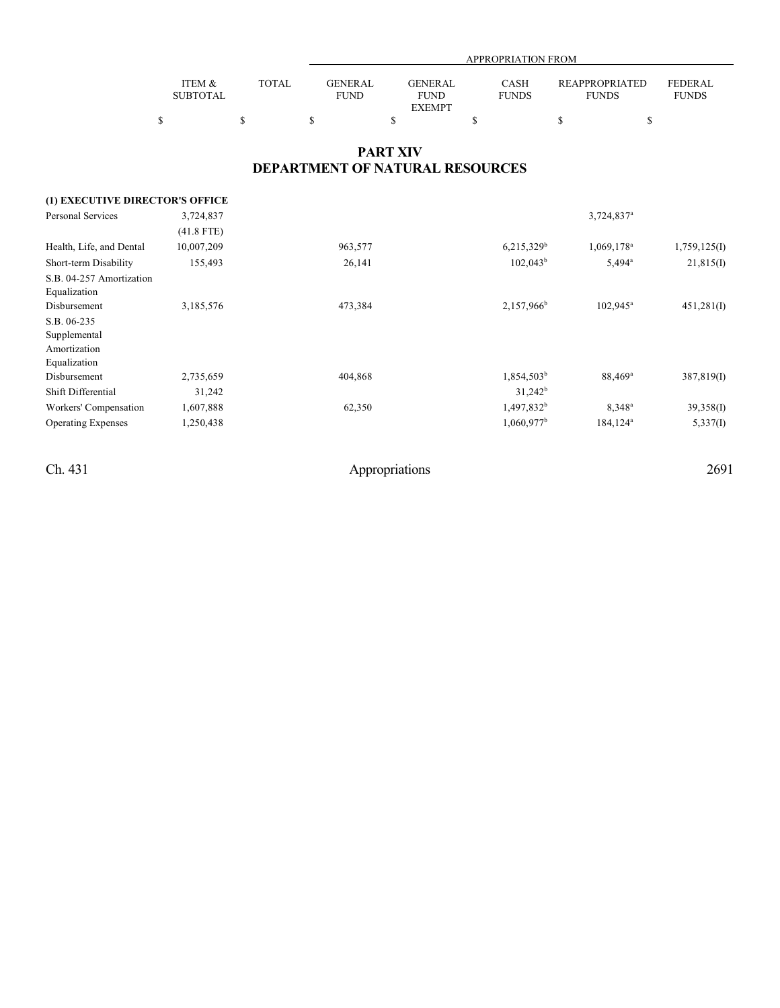|                 |              |             | APPROPRIATION FROM |              |                       |                |  |  |  |
|-----------------|--------------|-------------|--------------------|--------------|-----------------------|----------------|--|--|--|
|                 |              |             |                    |              |                       |                |  |  |  |
| ITEM &          | <b>TOTAL</b> | GENERAL     | <b>GENERAL</b>     | <b>CASH</b>  | <b>REAPPROPRIATED</b> | <b>FEDERAL</b> |  |  |  |
| <b>SUBTOTAL</b> |              | <b>FUND</b> | <b>FUND</b>        | <b>FUNDS</b> | <b>FUNDS</b>          | <b>FUNDS</b>   |  |  |  |
|                 |              |             | <b>EXEMPT</b>      |              |                       |                |  |  |  |
|                 |              |             |                    |              |                       |                |  |  |  |

## **PART XIV DEPARTMENT OF NATURAL RESOURCES**

| (1) EXECUTIVE DIRECTOR'S OFFICE |              |         |                          |                          |              |
|---------------------------------|--------------|---------|--------------------------|--------------------------|--------------|
| <b>Personal Services</b>        | 3,724,837    |         |                          | $3,724,837$ <sup>a</sup> |              |
|                                 | $(41.8$ FTE) |         |                          |                          |              |
| Health, Life, and Dental        | 10,007,209   | 963,577 | $6,215,329$ <sup>b</sup> | 1,069,178 <sup>a</sup>   | 1,759,125(I) |
| Short-term Disability           | 155,493      | 26,141  | $102,043^b$              | $5,494^{\circ}$          | 21,815(I)    |
| S.B. 04-257 Amortization        |              |         |                          |                          |              |
| Equalization                    |              |         |                          |                          |              |
| Disbursement                    | 3,185,576    | 473,384 | 2,157,966 <sup>b</sup>   | $102,945^{\circ}$        | 451,281(I)   |
| S.B. 06-235                     |              |         |                          |                          |              |
| Supplemental                    |              |         |                          |                          |              |
| Amortization                    |              |         |                          |                          |              |
| Equalization                    |              |         |                          |                          |              |
| Disbursement                    | 2,735,659    | 404,868 | 1,854,503 <sup>b</sup>   | 88,469 <sup>a</sup>      | 387,819(I)   |
| Shift Differential              | 31,242       |         | $31,242^b$               |                          |              |
| Workers' Compensation           | 1,607,888    | 62,350  | 1,497,832 <sup>b</sup>   | $8.348$ <sup>a</sup>     | 39,358(I)    |
| <b>Operating Expenses</b>       | 1,250,438    |         | $1,060,977$ <sup>b</sup> | $184, 124^a$             | 5,337(I)     |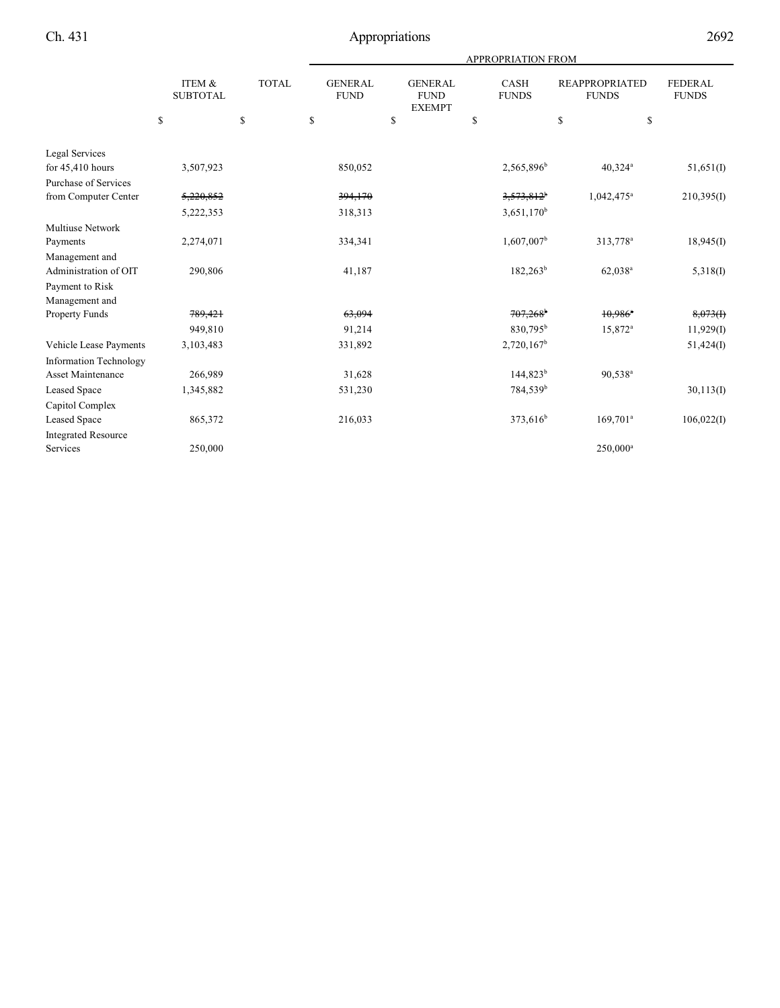|                               |                           |              | APPROPRIATION FROM            |                                                |                             |                                       |                                |  |
|-------------------------------|---------------------------|--------------|-------------------------------|------------------------------------------------|-----------------------------|---------------------------------------|--------------------------------|--|
|                               | ITEM &<br><b>SUBTOTAL</b> | <b>TOTAL</b> | <b>GENERAL</b><br><b>FUND</b> | <b>GENERAL</b><br><b>FUND</b><br><b>EXEMPT</b> | <b>CASH</b><br><b>FUNDS</b> | <b>REAPPROPRIATED</b><br><b>FUNDS</b> | <b>FEDERAL</b><br><b>FUNDS</b> |  |
|                               | \$                        | \$           | \$                            | \$                                             | \$                          | \$                                    | \$                             |  |
| Legal Services                |                           |              |                               |                                                |                             |                                       |                                |  |
| for 45,410 hours              | 3,507,923                 |              | 850,052                       |                                                | 2,565,896 <sup>b</sup>      | $40,324$ <sup>a</sup>                 | 51,651(I)                      |  |
| <b>Purchase of Services</b>   |                           |              |                               |                                                |                             |                                       |                                |  |
| from Computer Center          | 5,220,852                 |              | 394,170                       |                                                | $3,573,812^{\circ}$         | $1,042,475$ <sup>a</sup>              | 210,395(I)                     |  |
|                               | 5,222,353                 |              | 318,313                       |                                                | $3,651,170^b$               |                                       |                                |  |
| <b>Multiuse Network</b>       |                           |              |                               |                                                |                             |                                       |                                |  |
| Payments                      | 2,274,071                 |              | 334,341                       |                                                | $1,607,007^b$               | 313,778 <sup>a</sup>                  | 18,945(I)                      |  |
| Management and                |                           |              |                               |                                                |                             |                                       |                                |  |
| Administration of OIT         | 290,806                   |              | 41,187                        |                                                | $182,263^b$                 | 62,038 <sup>a</sup>                   | 5,318(I)                       |  |
| Payment to Risk               |                           |              |                               |                                                |                             |                                       |                                |  |
| Management and                |                           |              |                               |                                                |                             |                                       |                                |  |
| <b>Property Funds</b>         | 789,421                   |              | 63,094                        |                                                | $707,268$ <sup>b</sup>      | $10,986$ <sup>a</sup>                 | 8,073(f)                       |  |
|                               | 949,810                   |              | 91,214                        |                                                | 830,795 <sup>b</sup>        | 15,872 <sup>a</sup>                   | 11,929(I)                      |  |
| Vehicle Lease Payments        | 3,103,483                 |              | 331,892                       |                                                | $2,720,167^b$               |                                       | 51,424(I)                      |  |
| <b>Information Technology</b> |                           |              |                               |                                                |                             |                                       |                                |  |
| <b>Asset Maintenance</b>      | 266,989                   |              | 31,628                        |                                                | 144,823 <sup>b</sup>        | 90,538 <sup>a</sup>                   |                                |  |
| Leased Space                  | 1,345,882                 |              | 531,230                       |                                                | 784,539 <sup>b</sup>        |                                       | 30,113(I)                      |  |
| Capitol Complex               |                           |              |                               |                                                |                             |                                       |                                |  |
| Leased Space                  | 865,372                   |              | 216,033                       |                                                | 373,616 <sup>b</sup>        | $169,701^a$                           | 106,022(I)                     |  |
| <b>Integrated Resource</b>    |                           |              |                               |                                                |                             |                                       |                                |  |
| Services                      | 250,000                   |              |                               |                                                |                             | $250,000^a$                           |                                |  |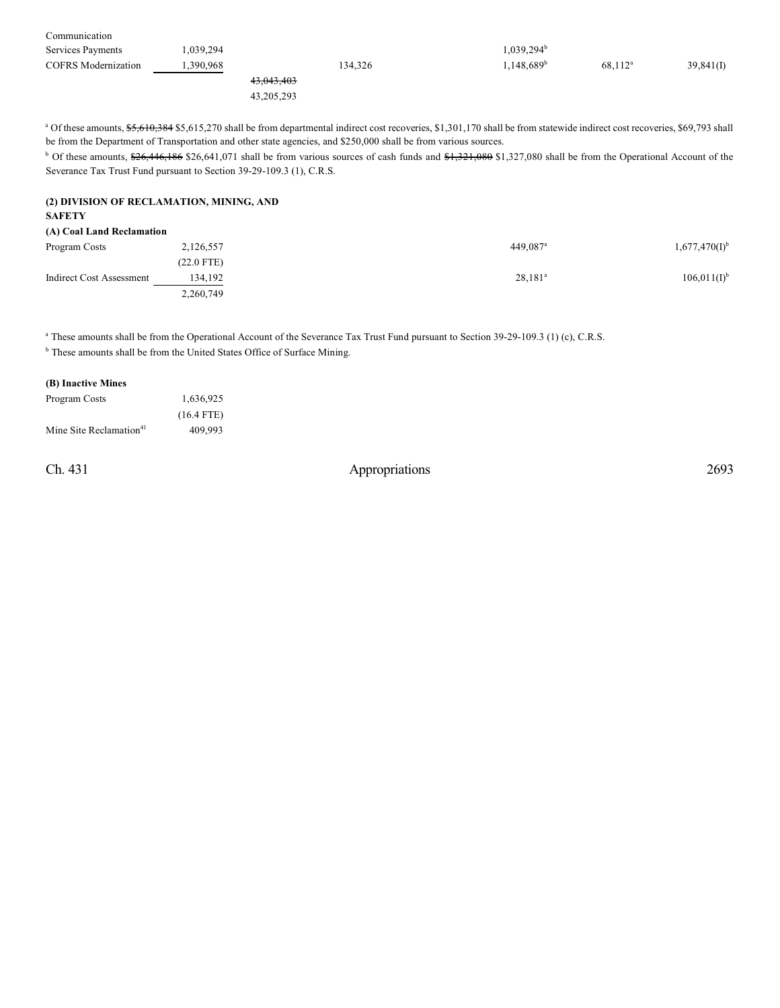| Communication              |           |            |                          |            |           |
|----------------------------|-----------|------------|--------------------------|------------|-----------|
| Services Payments          | .039,294  |            | $1,039,294^b$            |            |           |
| <b>COFRS</b> Modernization | 1.390.968 | 134,326    | $1,148,689$ <sup>b</sup> | $68.112^a$ | 39,841(I) |
|                            |           | 43,043,403 |                          |            |           |
|                            |           |            |                          |            |           |

43,205,293

<sup>a</sup> Of these amounts, \$5,610,384 \$5,615,270 shall be from departmental indirect cost recoveries, \$1,301,170 shall be from statewide indirect cost recoveries, \$69,793 shall be from the Department of Transportation and other state agencies, and \$250,000 shall be from various sources.

<sup>b</sup> Of these amounts, \$26,446,186 \$26,641,071 shall be from various sources of cash funds and \$1,321,080 \$1,327,080 shall be from the Operational Account of the Severance Tax Trust Fund pursuant to Section 39-29-109.3 (1), C.R.S.

#### **(2) DIVISION OF RECLAMATION, MINING, AND SAFETY**

#### **(A) Coal Land Reclamation**

| Program Costs            | 2,126,557  | 449.087 <sup>a</sup> | $1,677,470(I)^{b}$ |
|--------------------------|------------|----------------------|--------------------|
|                          | (22.0 FTE) |                      |                    |
| Indirect Cost Assessment | 134,192    | $28,181^a$           | $106,011(I)^{b}$   |
|                          | 2,260,749  |                      |                    |

<sup>a</sup> These amounts shall be from the Operational Account of the Severance Tax Trust Fund pursuant to Section 39-29-109.3 (1) (c), C.R.S. **b** These amounts shall be from the United States Office of Surface Mining.

#### **(B) Inactive Mines**

| Program Costs                       | 1,636,925    |
|-------------------------------------|--------------|
|                                     | $(16.4$ FTE) |
| Mine Site Reclamation <sup>41</sup> | 409.993      |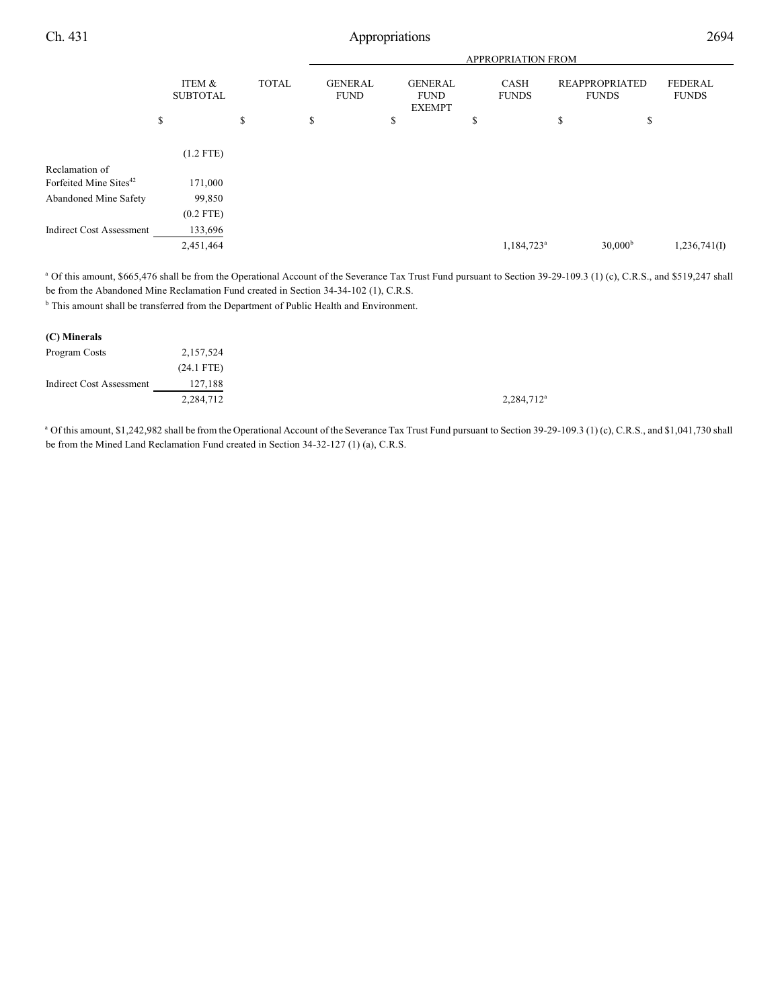|                                    |                           |              |                               | <b>APPROPRIATION FROM</b>                      |                             |                                       |                                |  |  |
|------------------------------------|---------------------------|--------------|-------------------------------|------------------------------------------------|-----------------------------|---------------------------------------|--------------------------------|--|--|
|                                    | ITEM &<br><b>SUBTOTAL</b> | <b>TOTAL</b> | <b>GENERAL</b><br><b>FUND</b> | <b>GENERAL</b><br><b>FUND</b><br><b>EXEMPT</b> | <b>CASH</b><br><b>FUNDS</b> | <b>REAPPROPRIATED</b><br><b>FUNDS</b> | <b>FEDERAL</b><br><b>FUNDS</b> |  |  |
|                                    | \$                        | \$           | \$                            | \$                                             | Ф                           | \$<br>\$                              |                                |  |  |
|                                    | $(1.2$ FTE)               |              |                               |                                                |                             |                                       |                                |  |  |
| Reclamation of                     |                           |              |                               |                                                |                             |                                       |                                |  |  |
| Forfeited Mine Sites <sup>42</sup> | 171,000                   |              |                               |                                                |                             |                                       |                                |  |  |
| <b>Abandoned Mine Safety</b>       | 99,850                    |              |                               |                                                |                             |                                       |                                |  |  |
|                                    | $(0.2$ FTE)               |              |                               |                                                |                             |                                       |                                |  |  |
| <b>Indirect Cost Assessment</b>    | 133,696                   |              |                               |                                                |                             |                                       |                                |  |  |
|                                    | 2,451,464                 |              |                               |                                                | 1,184,723 <sup>a</sup>      | 30,000 <sup>b</sup>                   | 1,236,741(I)                   |  |  |
|                                    |                           |              |                               |                                                |                             |                                       |                                |  |  |

<sup>a</sup> Of this amount, \$665,476 shall be from the Operational Account of the Severance Tax Trust Fund pursuant to Section 39-29-109.3 (1) (c), C.R.S., and \$519,247 shall be from the Abandoned Mine Reclamation Fund created in Section 34-34-102 (1), C.R.S.

<sup>b</sup> This amount shall be transferred from the Department of Public Health and Environment.

| (C) Minerals                    |              |
|---------------------------------|--------------|
| Program Costs                   | 2,157,524    |
|                                 | $(24.1$ FTE) |
| <b>Indirect Cost Assessment</b> | 127,188      |
|                                 | 2,284,712    |

<sup>a</sup> Of this amount, \$1,242,982 shall be from the Operational Account of the Severance Tax Trust Fund pursuant to Section 39-29-109.3 (1) (c), C.R.S., and \$1,041,730 shall be from the Mined Land Reclamation Fund created in Section 34-32-127 (1) (a), C.R.S.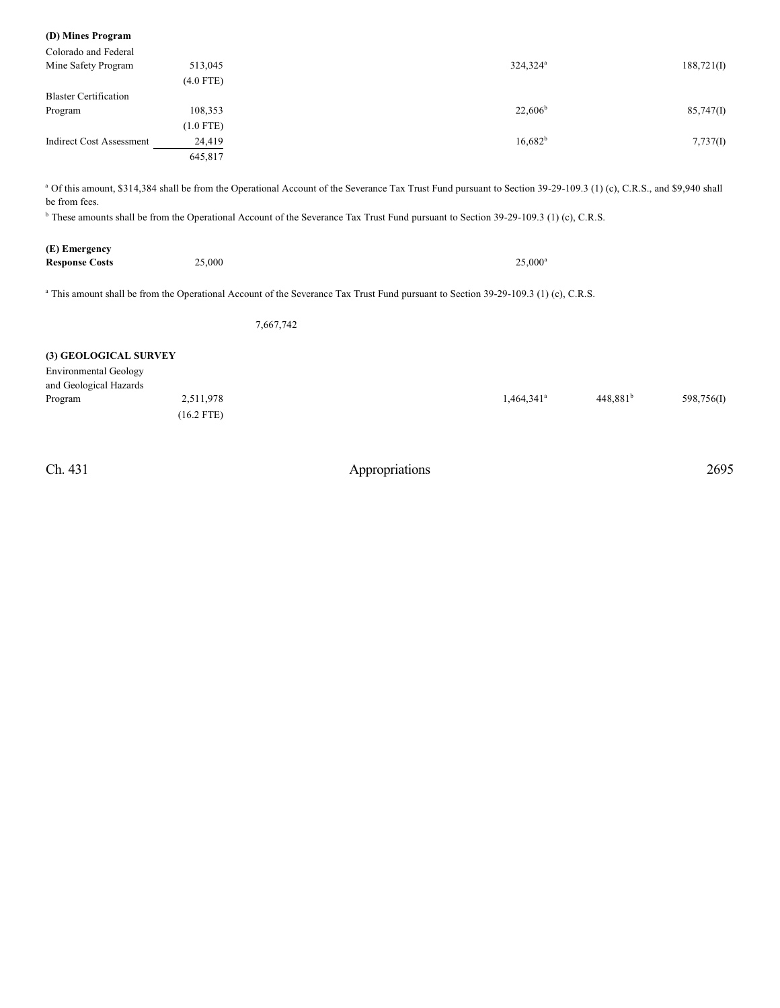| (D) Mines Program            |             |                                                                                                                                                                                 |            |
|------------------------------|-------------|---------------------------------------------------------------------------------------------------------------------------------------------------------------------------------|------------|
| Colorado and Federal         |             |                                                                                                                                                                                 |            |
| Mine Safety Program          | 513,045     | 324,324 <sup>a</sup>                                                                                                                                                            | 188,721(I) |
|                              | $(4.0$ FTE) |                                                                                                                                                                                 |            |
| <b>Blaster Certification</b> |             |                                                                                                                                                                                 |            |
| Program                      | 108,353     | $22.606^b$                                                                                                                                                                      | 85,747(1)  |
|                              | $(1.0$ FTE) |                                                                                                                                                                                 |            |
| Indirect Cost Assessment     | 24,419      | $16,682^b$                                                                                                                                                                      | 7,737(I)   |
|                              | 645,817     |                                                                                                                                                                                 |            |
|                              |             |                                                                                                                                                                                 |            |
|                              |             | <sup>a</sup> Of this amount, \$314,384 shall be from the Operational Account of the Severance Tax Trust Fund pursuant to Section 39-29-109.3 (1) (c), C.R.S., and \$9,940 shall |            |
| be from fees.                |             |                                                                                                                                                                                 |            |
|                              |             | <sup>b</sup> These amounts shall be from the Operational Account of the Severance Tax Trust Fund pursuant to Section 39-29-109.3 (1) (c), C.R.S.                                |            |

| (E) Emergency         |        |                  |
|-----------------------|--------|------------------|
| <b>Response Costs</b> | 25,000 | $25,000^{\rm a}$ |

<sup>a</sup> This amount shall be from the Operational Account of the Severance Tax Trust Fund pursuant to Section 39-29-109.3 (1) (c), C.R.S.

7,667,742

### **(3) GEOLOGICAL SURVEY**

| <b>Environmental Geology</b> |              |                     |                      |            |
|------------------------------|--------------|---------------------|----------------------|------------|
| and Geological Hazards       |              |                     |                      |            |
| Program                      | 2,511,978    | $1,464,341^{\circ}$ | 448.881 <sup>b</sup> | 598,756(I) |
|                              | $(16.2$ FTE) |                     |                      |            |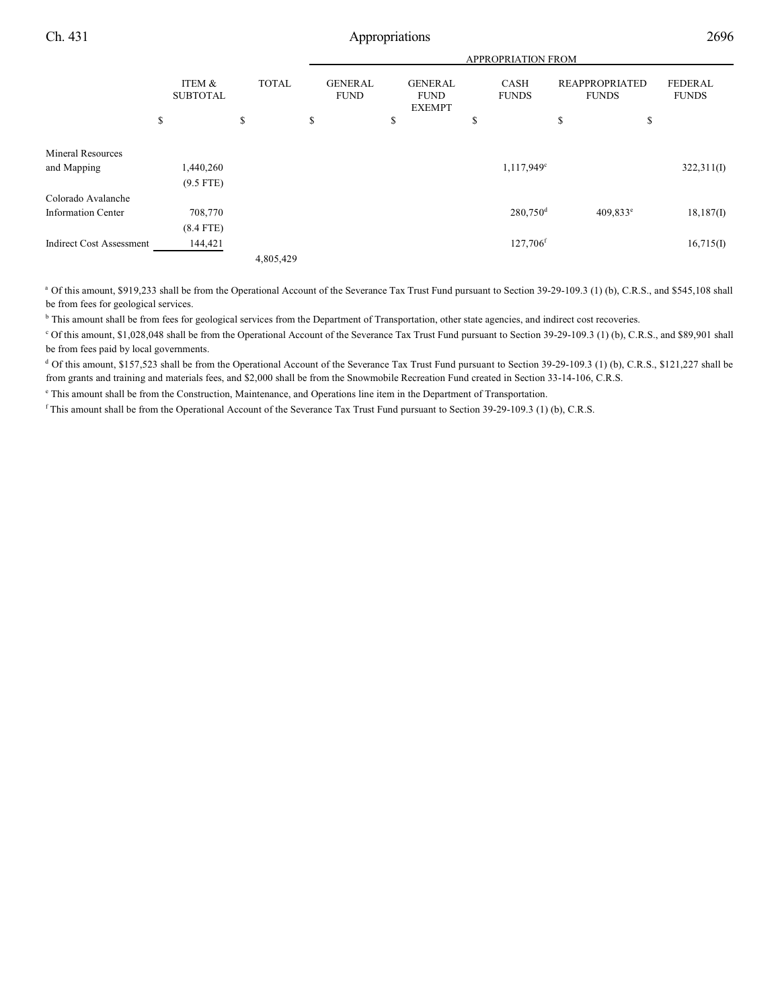|                                 |                           |              |                               | <b>APPROPRIATION FROM</b>                      |                             |                                       |                                |  |  |
|---------------------------------|---------------------------|--------------|-------------------------------|------------------------------------------------|-----------------------------|---------------------------------------|--------------------------------|--|--|
|                                 | ITEM &<br><b>SUBTOTAL</b> | <b>TOTAL</b> | <b>GENERAL</b><br><b>FUND</b> | <b>GENERAL</b><br><b>FUND</b><br><b>EXEMPT</b> | <b>CASH</b><br><b>FUNDS</b> | <b>REAPPROPRIATED</b><br><b>FUNDS</b> | <b>FEDERAL</b><br><b>FUNDS</b> |  |  |
|                                 | \$                        | \$           | \$                            | \$                                             | \$                          | \$<br>\$                              |                                |  |  |
| <b>Mineral Resources</b>        |                           |              |                               |                                                |                             |                                       |                                |  |  |
| and Mapping                     | 1,440,260                 |              |                               |                                                | 1,117,949 <sup>c</sup>      |                                       | 322,311(I)                     |  |  |
|                                 | $(9.5$ FTE)               |              |                               |                                                |                             |                                       |                                |  |  |
| Colorado Avalanche              |                           |              |                               |                                                |                             |                                       |                                |  |  |
| <b>Information Center</b>       | 708,770                   |              |                               |                                                | $280,750$ <sup>d</sup>      | $409.833$ <sup>e</sup>                | 18,187(I)                      |  |  |
|                                 | $(8.4$ FTE)               |              |                               |                                                |                             |                                       |                                |  |  |
| <b>Indirect Cost Assessment</b> | 144,421                   |              |                               |                                                | 127,706 <sup>f</sup>        |                                       | 16,715(I)                      |  |  |
|                                 |                           | 4,805,429    |                               |                                                |                             |                                       |                                |  |  |

<sup>a</sup> Of this amount, \$919,233 shall be from the Operational Account of the Severance Tax Trust Fund pursuant to Section 39-29-109.3 (1) (b), C.R.S., and \$545,108 shall be from fees for geological services.

<sup>b</sup> This amount shall be from fees for geological services from the Department of Transportation, other state agencies, and indirect cost recoveries.

<sup>c</sup> Of this amount, \$1,028,048 shall be from the Operational Account of the Severance Tax Trust Fund pursuant to Section 39-29-109.3 (1) (b), C.R.S., and \$89,901 shall be from fees paid by local governments.

<sup>d</sup> Of this amount, \$157,523 shall be from the Operational Account of the Severance Tax Trust Fund pursuant to Section 39-29-109.3 (1) (b), C.R.S., \$121,227 shall be from grants and training and materials fees, and \$2,000 shall be from the Snowmobile Recreation Fund created in Section 33-14-106, C.R.S.

<sup>e</sup> This amount shall be from the Construction, Maintenance, and Operations line item in the Department of Transportation.

<sup>f</sup> This amount shall be from the Operational Account of the Severance Tax Trust Fund pursuant to Section 39-29-109.3 (1) (b), C.R.S.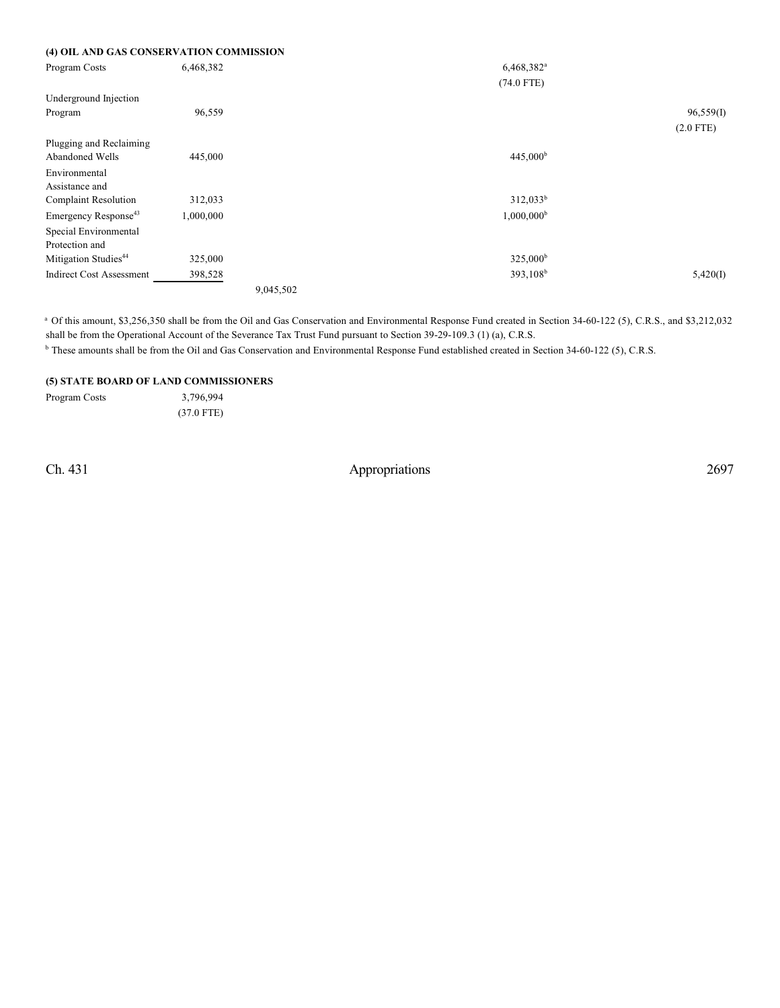|  | (4) OIL AND GAS CONSERVATION COMMISSION |
|--|-----------------------------------------|
|--|-----------------------------------------|

| Program Costs                    | 6,468,382 |           | $6,468,382$ <sup>a</sup> |             |
|----------------------------------|-----------|-----------|--------------------------|-------------|
|                                  |           |           | $(74.0$ FTE)             |             |
| Underground Injection            |           |           |                          |             |
| Program                          | 96,559    |           |                          | 96,559(I)   |
|                                  |           |           |                          | $(2.0$ FTE) |
| Plugging and Reclaiming          |           |           |                          |             |
| Abandoned Wells                  | 445,000   |           | 445,000 <sup>b</sup>     |             |
| Environmental                    |           |           |                          |             |
| Assistance and                   |           |           |                          |             |
| <b>Complaint Resolution</b>      | 312,033   |           | $312,033^b$              |             |
| Emergency Response <sup>43</sup> | 1,000,000 |           | $1,000,000^{\rm b}$      |             |
| Special Environmental            |           |           |                          |             |
| Protection and                   |           |           |                          |             |
| Mitigation Studies <sup>44</sup> | 325,000   |           | $325,000^{\rm b}$        |             |
| <b>Indirect Cost Assessment</b>  | 398,528   |           | 393,108 <sup>b</sup>     | 5,420(I)    |
|                                  |           | 9,045,502 |                          |             |

<sup>a</sup> Of this amount, \$3,256,350 shall be from the Oil and Gas Conservation and Environmental Response Fund created in Section 34-60-122 (5), C.R.S., and \$3,212,032 shall be from the Operational Account of the Severance Tax Trust Fund pursuant to Section 39-29-109.3 (1) (a), C.R.S.

<sup>b</sup> These amounts shall be from the Oil and Gas Conservation and Environmental Response Fund established created in Section 34-60-122 (5), C.R.S.

### **(5) STATE BOARD OF LAND COMMISSIONERS**

Program Costs 3,796,994

(37.0 FTE)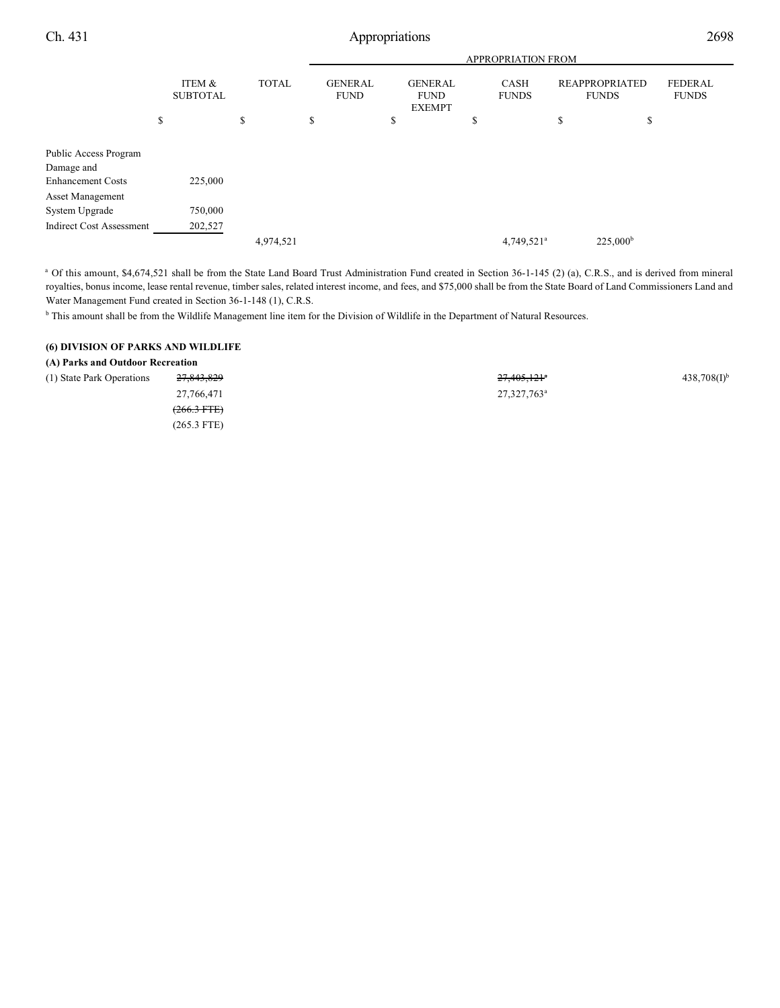|                                                                 |                           |              |                               | <b>APPROPRIATION FROM</b>                      |                        |                                       |                                |  |  |  |
|-----------------------------------------------------------------|---------------------------|--------------|-------------------------------|------------------------------------------------|------------------------|---------------------------------------|--------------------------------|--|--|--|
|                                                                 | ITEM &<br><b>SUBTOTAL</b> | <b>TOTAL</b> | <b>GENERAL</b><br><b>FUND</b> | <b>GENERAL</b><br><b>FUND</b><br><b>EXEMPT</b> | CASH<br><b>FUNDS</b>   | <b>REAPPROPRIATED</b><br><b>FUNDS</b> | <b>FEDERAL</b><br><b>FUNDS</b> |  |  |  |
|                                                                 | \$                        | \$           | \$                            | \$                                             | \$                     | \$<br>\$                              |                                |  |  |  |
| Public Access Program<br>Damage and<br><b>Enhancement Costs</b> | 225,000                   |              |                               |                                                |                        |                                       |                                |  |  |  |
| <b>Asset Management</b><br>System Upgrade                       | 750,000                   |              |                               |                                                |                        |                                       |                                |  |  |  |
| <b>Indirect Cost Assessment</b>                                 | 202,527                   | 4,974,521    |                               |                                                | 4,749,521 <sup>a</sup> | $225,000^{\rm b}$                     |                                |  |  |  |

<sup>a</sup> Of this amount, \$4,674,521 shall be from the State Land Board Trust Administration Fund created in Section 36-1-145 (2) (a), C.R.S., and is derived from mineral royalties, bonus income, lease rental revenue, timber sales, related interest income, and fees, and \$75,000 shall be from the State Board of Land Commissioners Land and Water Management Fund created in Section 36-1-148 (1), C.R.S.

<sup>b</sup> This amount shall be from the Wildlife Management line item for the Division of Wildlife in the Department of Natural Resources.

### **(6) DIVISION OF PARKS AND WILDLIFE**

#### **(A) Parks and Outdoor Recreation**

| (1) State Park Operations | 27,843,829       | $27,405,121$ <sup>a</sup> | $438,708(1)$ <sup>b</sup> |
|---------------------------|------------------|---------------------------|---------------------------|
|                           | 27,766,471       | $27,327,763^{\circ}$      |                           |
|                           | $(266.3$ FTE $)$ |                           |                           |
|                           | $(265.3$ FTE)    |                           |                           |
|                           |                  |                           |                           |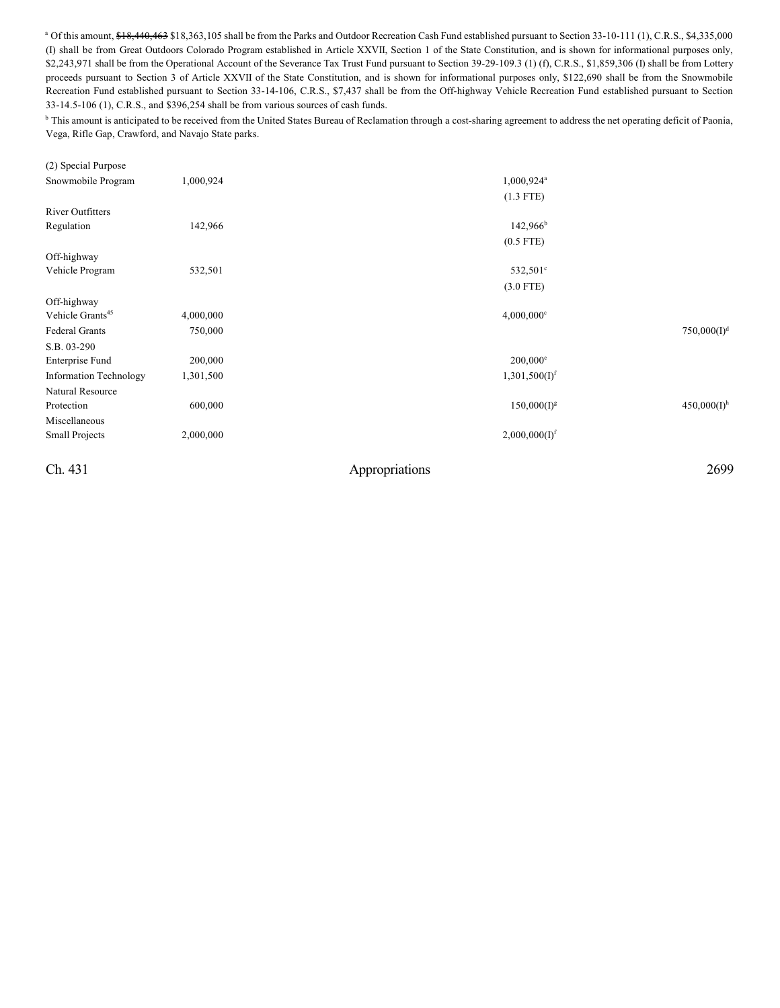<sup>a</sup> Of this amount, \$18,440,463 \$18,363,105 shall be from the Parks and Outdoor Recreation Cash Fund established pursuant to Section 33-10-111 (1), C.R.S., \$4,335,000 (I) shall be from Great Outdoors Colorado Program established in Article XXVII, Section 1 of the State Constitution, and is shown for informational purposes only, \$2,243,971 shall be from the Operational Account of the Severance Tax Trust Fund pursuant to Section 39-29-109.3 (1) (f), C.R.S., \$1,859,306 (I) shall be from Lottery proceeds pursuant to Section 3 of Article XXVII of the State Constitution, and is shown for informational purposes only, \$122,690 shall be from the Snowmobile Recreation Fund established pursuant to Section 33-14-106, C.R.S., \$7,437 shall be from the Off-highway Vehicle Recreation Fund established pursuant to Section 33-14.5-106 (1), C.R.S., and \$396,254 shall be from various sources of cash funds.

<sup>b</sup> This amount is anticipated to be received from the United States Bureau of Reclamation through a cost-sharing agreement to address the net operating deficit of Paonia, Vega, Rifle Gap, Crawford, and Navajo State parks.

| (2) Special Purpose          |           |                           |                           |
|------------------------------|-----------|---------------------------|---------------------------|
| Snowmobile Program           | 1,000,924 | 1,000,924 <sup>a</sup>    |                           |
|                              |           | $(1.3$ FTE)               |                           |
| <b>River Outfitters</b>      |           |                           |                           |
| Regulation                   | 142,966   | $142,966^b$               |                           |
|                              |           | $(0.5$ FTE)               |                           |
| Off-highway                  |           |                           |                           |
| Vehicle Program              | 532,501   | 532,501 <sup>c</sup>      |                           |
|                              |           | $(3.0$ FTE)               |                           |
| Off-highway                  |           |                           |                           |
| Vehicle Grants <sup>45</sup> | 4,000,000 | $4,000,000$ <sup>c</sup>  |                           |
| Federal Grants               | 750,000   |                           | 750,000(I) <sup>d</sup>   |
| S.B. 03-290                  |           |                           |                           |
| Enterprise Fund              | 200,000   | $200,000^e$               |                           |
| Information Technology       | 1,301,500 | 1,301,500(I) <sup>f</sup> |                           |
| Natural Resource             |           |                           |                           |
| Protection                   | 600,000   | $150,000(I)^g$            | $450,000(I)$ <sup>h</sup> |
| Miscellaneous                |           |                           |                           |
| <b>Small Projects</b>        | 2,000,000 | 2,000,000(I) <sup>f</sup> |                           |
| Ch. 431                      |           | Appropriations            | 2699                      |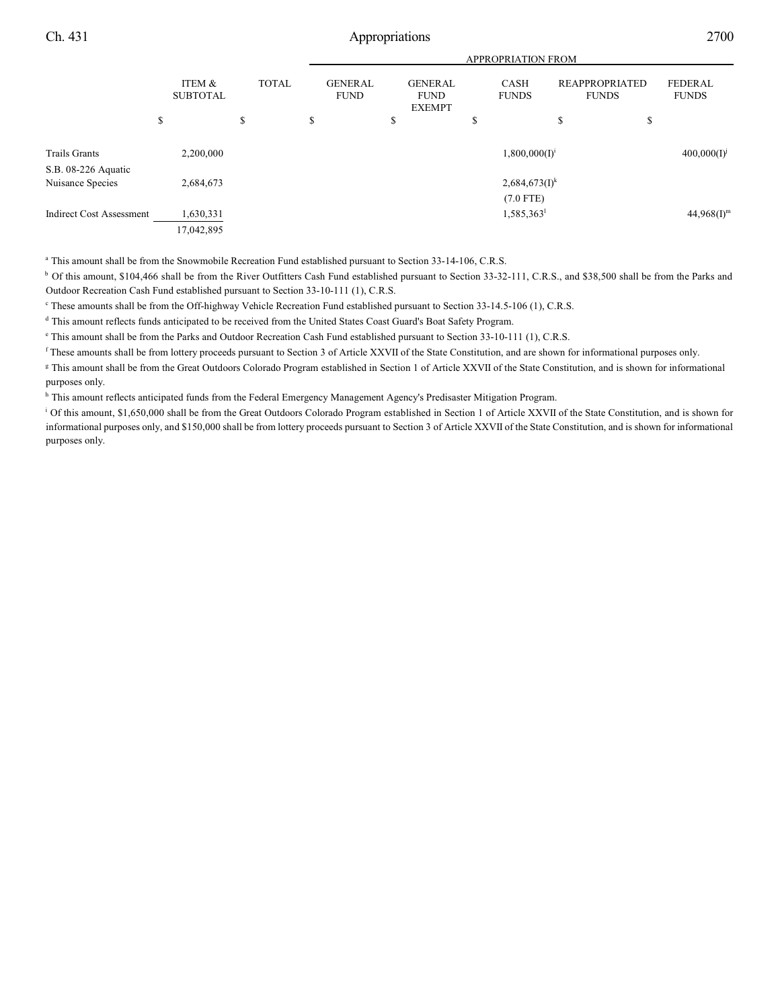|                                 | ITEM &<br><b>SUBTOTAL</b> |              |                               | <b>APPROPRIATION FROM</b>                      |                             |                                       |                                |  |  |  |
|---------------------------------|---------------------------|--------------|-------------------------------|------------------------------------------------|-----------------------------|---------------------------------------|--------------------------------|--|--|--|
|                                 |                           | <b>TOTAL</b> | <b>GENERAL</b><br><b>FUND</b> | <b>GENERAL</b><br><b>FUND</b><br><b>EXEMPT</b> | <b>CASH</b><br><b>FUNDS</b> | <b>REAPPROPRIATED</b><br><b>FUNDS</b> | <b>FEDERAL</b><br><b>FUNDS</b> |  |  |  |
|                                 | \$                        | \$           | \$                            | \$                                             | ъ                           | \$<br>\$                              |                                |  |  |  |
| <b>Trails Grants</b>            | 2,200,000                 |              |                               |                                                | $1,800,000(I)^{i}$          |                                       | $400,000(I)^{j}$               |  |  |  |
| S.B. 08-226 Aquatic             |                           |              |                               |                                                |                             |                                       |                                |  |  |  |
| Nuisance Species                | 2,684,673                 |              |                               |                                                | $2,684,673(1)^k$            |                                       |                                |  |  |  |
|                                 |                           |              |                               |                                                | $(7.0$ FTE)                 |                                       |                                |  |  |  |
| <b>Indirect Cost Assessment</b> | 1,630,331                 |              |                               |                                                | 1,585,363                   |                                       | $44,968(1)$ <sup>m</sup>       |  |  |  |
|                                 | 17,042,895                |              |                               |                                                |                             |                                       |                                |  |  |  |

<sup>a</sup> This amount shall be from the Snowmobile Recreation Fund established pursuant to Section 33-14-106, C.R.S.

<sup>b</sup> Of this amount, \$104,466 shall be from the River Outfitters Cash Fund established pursuant to Section 33-32-111, C.R.S., and \$38,500 shall be from the Parks and Outdoor Recreation Cash Fund established pursuant to Section 33-10-111 (1), C.R.S.

<sup>c</sup> These amounts shall be from the Off-highway Vehicle Recreation Fund established pursuant to Section 33-14.5-106 (1), C.R.S.

<sup>d</sup> This amount reflects funds anticipated to be received from the United States Coast Guard's Boat Safety Program.

<sup>e</sup> This amount shall be from the Parks and Outdoor Recreation Cash Fund established pursuant to Section 33-10-111 (1), C.R.S.

 These amounts shall be from lottery proceeds pursuant to Section 3 of Article XXVII of the State Constitution, and are shown for informational purposes only. f <sup>g</sup> This amount shall be from the Great Outdoors Colorado Program established in Section 1 of Article XXVII of the State Constitution, and is shown for informational purposes only.

<sup>h</sup> This amount reflects anticipated funds from the Federal Emergency Management Agency's Predisaster Mitigation Program.

<sup>i</sup> Of this amount, \$1,650,000 shall be from the Great Outdoors Colorado Program established in Section 1 of Article XXVII of the State Constitution, and is shown for informational purposes only, and \$150,000 shall be from lottery proceeds pursuant to Section 3 of Article XXVII of the State Constitution, and is shown for informational purposes only.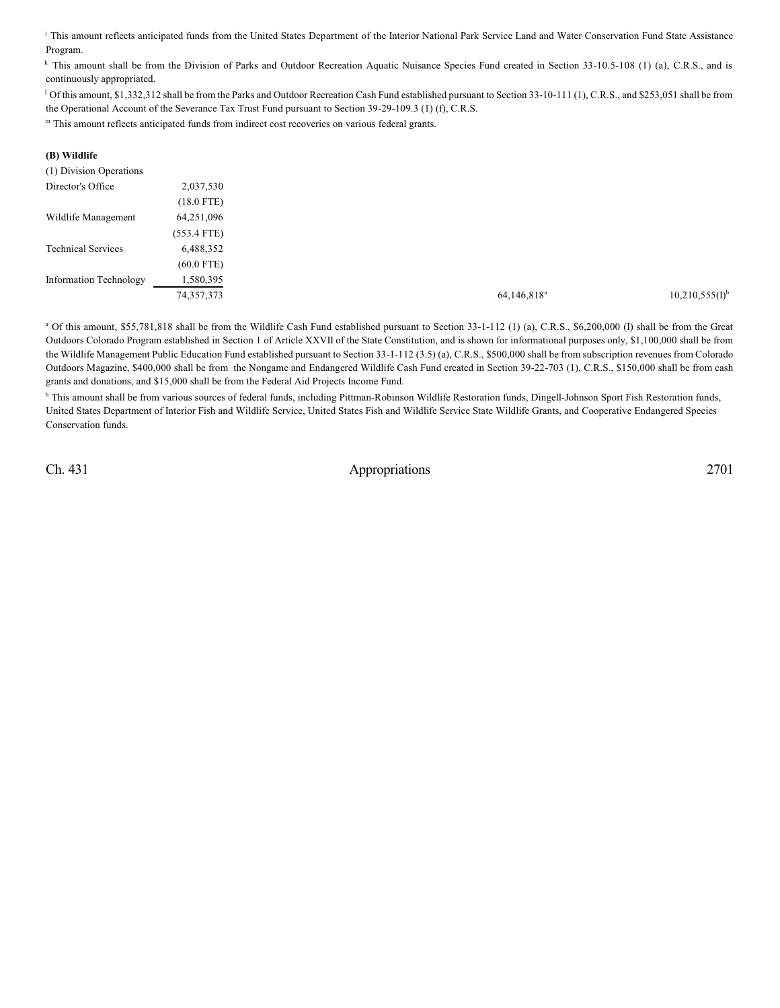This amount reflects anticipated funds from the United States Department of the Interior National Park Service Land and Water Conservation Fund State Assistance Program.

<sup>k</sup> This amount shall be from the Division of Parks and Outdoor Recreation Aquatic Nuisance Species Fund created in Section 33-10.5-108 (1) (a), C.R.S., and is continuously appropriated.

<sup>1</sup> Of this amount, \$1,332,312 shall be from the Parks and Outdoor Recreation Cash Fund established pursuant to Section 33-10-111 (1), C.R.S., and \$253,051 shall be from the Operational Account of the Severance Tax Trust Fund pursuant to Section 39-29-109.3 (1) (f), C.R.S.

<sup>m</sup> This amount reflects anticipated funds from indirect cost recoveries on various federal grants.

| (B) Wildlife              |               |
|---------------------------|---------------|
| (1) Division Operations   |               |
| Director's Office         | 2,037,530     |
|                           | $(18.0$ FTE)  |
| Wildlife Management       | 64,251,096    |
|                           | $(553.4$ FTE) |
| <b>Technical Services</b> | 6,488,352     |
|                           | $(60.0$ FTE)  |
| Information Technology    | 1,580,395     |
|                           | 74, 357, 373  |

<sup>a</sup> Of this amount, \$55,781,818 shall be from the Wildlife Cash Fund established pursuant to Section 33-1-112 (1) (a), C.R.S., \$6,200,000 (I) shall be from the Great Outdoors Colorado Program established in Section 1 of Article XXVII of the State Constitution, and is shown for informational purposes only, \$1,100,000 shall be from the Wildlife Management Public Education Fund established pursuant to Section 33-1-112 (3.5) (a), C.R.S., \$500,000 shall be from subscription revenues from Colorado Outdoors Magazine, \$400,000 shall be from the Nongame and Endangered Wildlife Cash Fund created in Section 39-22-703 (1), C.R.S., \$150,000 shall be from cash grants and donations, and \$15,000 shall be from the Federal Aid Projects Income Fund.

<sup>b</sup> This amount shall be from various sources of federal funds, including Pittman-Robinson Wildlife Restoration funds, Dingell-Johnson Sport Fish Restoration funds, United States Department of Interior Fish and Wildlife Service, United States Fish and Wildlife Service State Wildlife Grants, and Cooperative Endangered Species Conservation funds.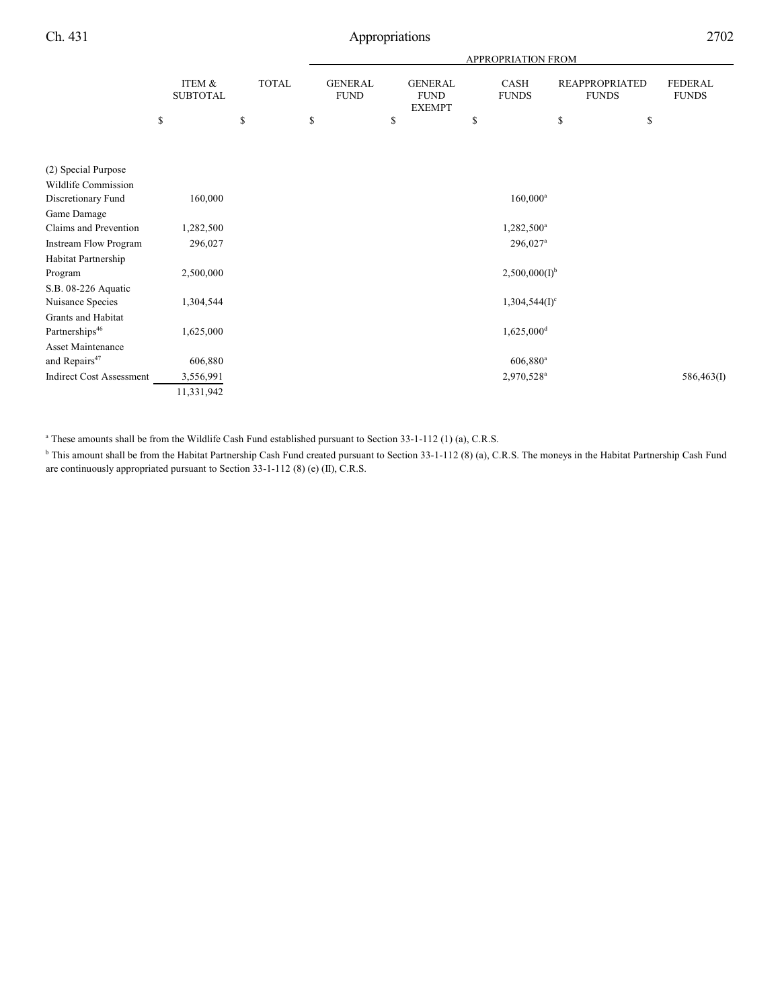|                                 |                                 |                    | APPROPRIATION FROM                  |                                                      |                            |                                             |                                      |  |
|---------------------------------|---------------------------------|--------------------|-------------------------------------|------------------------------------------------------|----------------------------|---------------------------------------------|--------------------------------------|--|
|                                 | ITEM &<br><b>SUBTOTAL</b><br>\$ | <b>TOTAL</b><br>\$ | <b>GENERAL</b><br><b>FUND</b><br>\$ | <b>GENERAL</b><br><b>FUND</b><br><b>EXEMPT</b><br>\$ | CASH<br><b>FUNDS</b><br>\$ | <b>REAPPROPRIATED</b><br><b>FUNDS</b><br>\$ | <b>FEDERAL</b><br><b>FUNDS</b><br>\$ |  |
|                                 |                                 |                    |                                     |                                                      |                            |                                             |                                      |  |
|                                 |                                 |                    |                                     |                                                      |                            |                                             |                                      |  |
| (2) Special Purpose             |                                 |                    |                                     |                                                      |                            |                                             |                                      |  |
| Wildlife Commission             |                                 |                    |                                     |                                                      |                            |                                             |                                      |  |
| Discretionary Fund              | 160,000                         |                    |                                     |                                                      | $160,000^{\rm a}$          |                                             |                                      |  |
| Game Damage                     |                                 |                    |                                     |                                                      |                            |                                             |                                      |  |
| Claims and Prevention           | 1,282,500                       |                    |                                     |                                                      | 1,282,500 <sup>a</sup>     |                                             |                                      |  |
| Instream Flow Program           | 296,027                         |                    |                                     |                                                      | $296,027$ <sup>a</sup>     |                                             |                                      |  |
| Habitat Partnership             |                                 |                    |                                     |                                                      |                            |                                             |                                      |  |
| Program                         | 2,500,000                       |                    |                                     |                                                      | $2,500,000(I)^{b}$         |                                             |                                      |  |
| S.B. 08-226 Aquatic             |                                 |                    |                                     |                                                      |                            |                                             |                                      |  |
| Nuisance Species                | 1,304,544                       |                    |                                     |                                                      | $1,304,544(I)^c$           |                                             |                                      |  |
| Grants and Habitat              |                                 |                    |                                     |                                                      |                            |                                             |                                      |  |
| Partnerships <sup>46</sup>      | 1,625,000                       |                    |                                     |                                                      | $1,625,000$ <sup>d</sup>   |                                             |                                      |  |
| Asset Maintenance               |                                 |                    |                                     |                                                      |                            |                                             |                                      |  |
| and Repairs <sup>47</sup>       | 606,880                         |                    |                                     |                                                      | $606,880$ <sup>a</sup>     |                                             |                                      |  |
| <b>Indirect Cost Assessment</b> | 3,556,991                       |                    |                                     |                                                      | 2,970,528 <sup>a</sup>     |                                             | 586,463(I)                           |  |
|                                 | 11,331,942                      |                    |                                     |                                                      |                            |                                             |                                      |  |

<sup>a</sup> These amounts shall be from the Wildlife Cash Fund established pursuant to Section 33-1-112 (1) (a), C.R.S.

<sup>b</sup> This amount shall be from the Habitat Partnership Cash Fund created pursuant to Section 33-1-112 (8) (a), C.R.S. The moneys in the Habitat Partnership Cash Fund are continuously appropriated pursuant to Section 33-1-112 (8) (e) (II), C.R.S.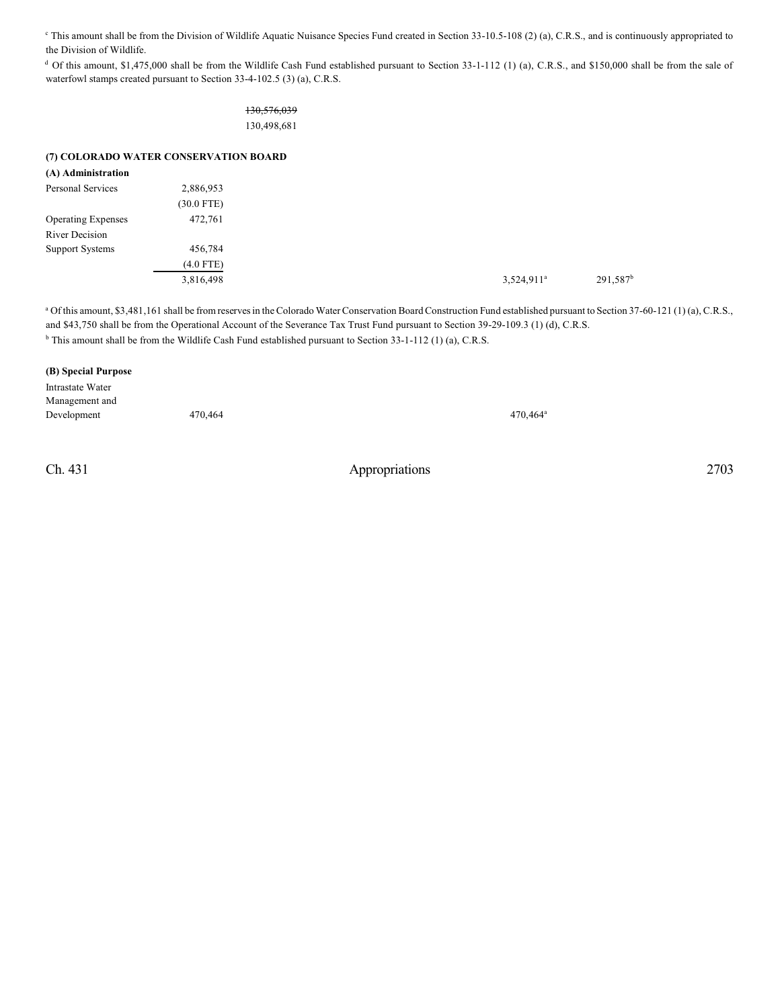<sup>e</sup> This amount shall be from the Division of Wildlife Aquatic Nuisance Species Fund created in Section 33-10.5-108 (2) (a), C.R.S., and is continuously appropriated to the Division of Wildlife.

<sup>d</sup> Of this amount, \$1,475,000 shall be from the Wildlife Cash Fund established pursuant to Section 33-1-112 (1) (a), C.R.S., and \$150,000 shall be from the sale of waterfowl stamps created pursuant to Section 33-4-102.5 (3) (a), C.R.S.

> 130,576,039 130,498,681

#### **(7) COLORADO WATER CONSERVATION BOARD**

| (A) Administration        |              |
|---------------------------|--------------|
| Personal Services         | 2,886,953    |
|                           | $(30.0$ FTE) |
| <b>Operating Expenses</b> | 472,761      |
| River Decision            |              |
| Support Systems           | 456,784      |
|                           | $(4.0$ FTE)  |
|                           | 3,816,498    |
|                           |              |

<sup>a</sup> Of this amount, \$3,481,161 shall be from reserves in the Colorado Water Conservation Board Construction Fund established pursuant to Section 37-60-121 (1) (a), C.R.S., and \$43,750 shall be from the Operational Account of the Severance Tax Trust Fund pursuant to Section 39-29-109.3 (1) (d), C.R.S.  $b$  This amount shall be from the Wildlife Cash Fund established pursuant to Section 33-1-112 (1) (a), C.R.S.

#### **(B) Special Purpose**

Intrastate Water Management and Development 470,464 470,464

Ch. 431 Appropriations 2703

470,464<sup>a</sup>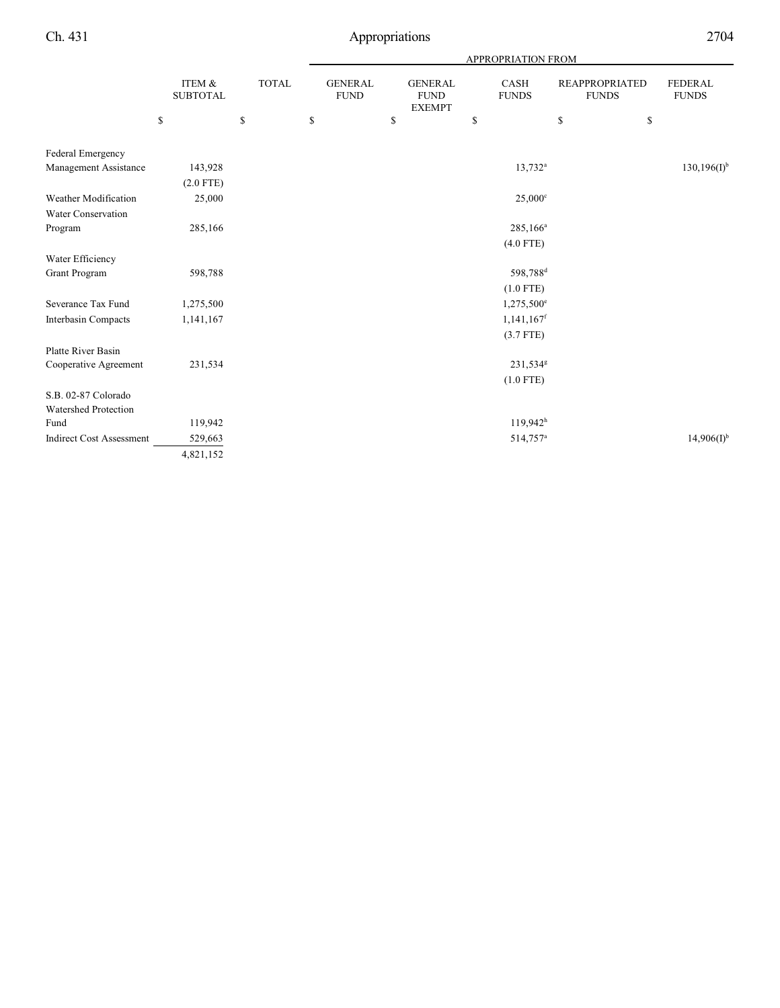|                           |              | <b>APPROPRIATION FROM</b>     |    |                              |                |                          |                                       |                                |
|---------------------------|--------------|-------------------------------|----|------------------------------|----------------|--------------------------|---------------------------------------|--------------------------------|
| ITEM &<br><b>SUBTOTAL</b> | <b>TOTAL</b> | <b>GENERAL</b><br><b>FUND</b> |    | <b>FUND</b><br><b>EXEMPT</b> |                | CASH<br><b>FUNDS</b>     | <b>REAPPROPRIATED</b><br><b>FUNDS</b> | <b>FEDERAL</b><br><b>FUNDS</b> |
| \$                        | \$           | \$                            | \$ |                              | \$             |                          | \$                                    |                                |
|                           |              |                               |    |                              |                |                          |                                       |                                |
| 143,928                   |              |                               |    |                              |                | $13,732^a$               |                                       | $130, 196(1)$ <sup>b</sup>     |
| $(2.0$ FTE)               |              |                               |    |                              |                |                          |                                       |                                |
| 25,000                    |              |                               |    |                              |                | $25,000^\circ$           |                                       |                                |
|                           |              |                               |    |                              |                |                          |                                       |                                |
| 285,166                   |              |                               |    |                              |                | 285,166 <sup>a</sup>     |                                       |                                |
|                           |              |                               |    |                              |                | $(4.0$ FTE)              |                                       |                                |
|                           |              |                               |    |                              |                |                          |                                       |                                |
| 598,788                   |              |                               |    |                              |                | 598,788 <sup>d</sup>     |                                       |                                |
|                           |              |                               |    |                              |                | $(1.0$ FTE)              |                                       |                                |
| 1,275,500                 |              |                               |    |                              |                | 1,275,500 <sup>e</sup>   |                                       |                                |
| 1,141,167                 |              |                               |    |                              |                | $1,141,167$ <sup>f</sup> |                                       |                                |
|                           |              |                               |    |                              |                | $(3.7$ FTE)              |                                       |                                |
|                           |              |                               |    |                              |                |                          |                                       |                                |
| 231,534                   |              |                               |    |                              |                | 231,534 <sup>g</sup>     |                                       |                                |
|                           |              |                               |    |                              |                | $(1.0$ FTE)              |                                       |                                |
|                           |              |                               |    |                              |                |                          |                                       |                                |
|                           |              |                               |    |                              |                |                          |                                       |                                |
| 119,942                   |              |                               |    |                              |                |                          |                                       |                                |
| 529,663                   |              |                               |    |                              |                | 514,757 <sup>a</sup>     |                                       | $14,906(1)^{b}$                |
| 4,821,152                 |              |                               |    |                              |                |                          |                                       |                                |
|                           |              |                               |    |                              | <b>GENERAL</b> |                          | $119,942^h$                           | \$                             |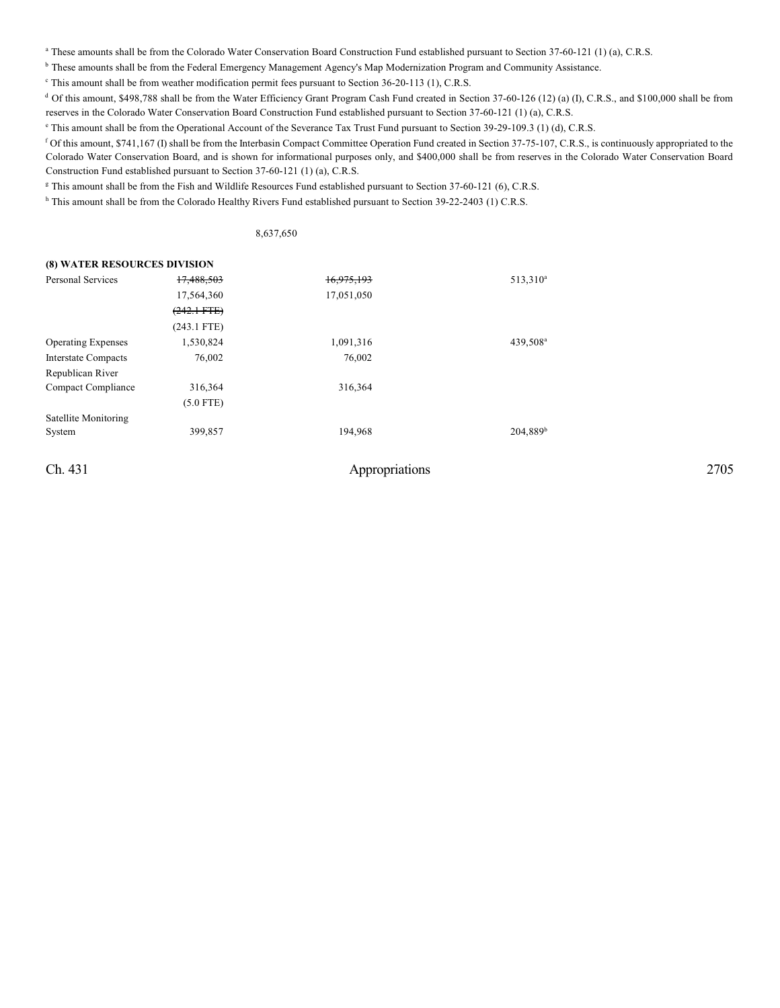<sup>a</sup> These amounts shall be from the Colorado Water Conservation Board Construction Fund established pursuant to Section 37-60-121 (1) (a), C.R.S.

<sup>b</sup> These amounts shall be from the Federal Emergency Management Agency's Map Modernization Program and Community Assistance.

<sup>c</sup> This amount shall be from weather modification permit fees pursuant to Section 36-20-113 (1), C.R.S.

<sup>d</sup> Of this amount, \$498,788 shall be from the Water Efficiency Grant Program Cash Fund created in Section 37-60-126 (12) (a) (I), C.R.S., and \$100,000 shall be from reserves in the Colorado Water Conservation Board Construction Fund established pursuant to Section 37-60-121 (1) (a), C.R.S.

<sup>e</sup> This amount shall be from the Operational Account of the Severance Tax Trust Fund pursuant to Section 39-29-109.3 (1) (d), C.R.S.

 $f$  Of this amount, \$741,167 (I) shall be from the Interbasin Compact Committee Operation Fund created in Section 37-75-107, C.R.S., is continuously appropriated to the Colorado Water Conservation Board, and is shown for informational purposes only, and \$400,000 shall be from reserves in the Colorado Water Conservation Board Construction Fund established pursuant to Section 37-60-121 (1) (a), C.R.S.

<sup>g</sup> This amount shall be from the Fish and Wildlife Resources Fund established pursuant to Section 37-60-121 (6), C.R.S.

<sup>h</sup> This amount shall be from the Colorado Healthy Rivers Fund established pursuant to Section 39-22-2403 (1) C.R.S.

8,637,650

### **(8) WATER RESOURCES DIVISION**

| <b>Personal Services</b>  | 17,488,503    | 16,975,193 | 513,310 <sup>a</sup> |
|---------------------------|---------------|------------|----------------------|
|                           | 17,564,360    | 17,051,050 |                      |
|                           | $(242.1$ FTE) |            |                      |
|                           | $(243.1$ FTE) |            |                      |
| <b>Operating Expenses</b> | 1,530,824     | 1,091,316  | 439,508 <sup>a</sup> |
| Interstate Compacts       | 76,002        | 76,002     |                      |
| Republican River          |               |            |                      |
| Compact Compliance        | 316,364       | 316,364    |                      |
|                           | $(5.0$ FTE)   |            |                      |
| Satellite Monitoring      |               |            |                      |
| System                    | 399,857       | 194.968    | 204,889 <sup>b</sup> |
|                           |               |            |                      |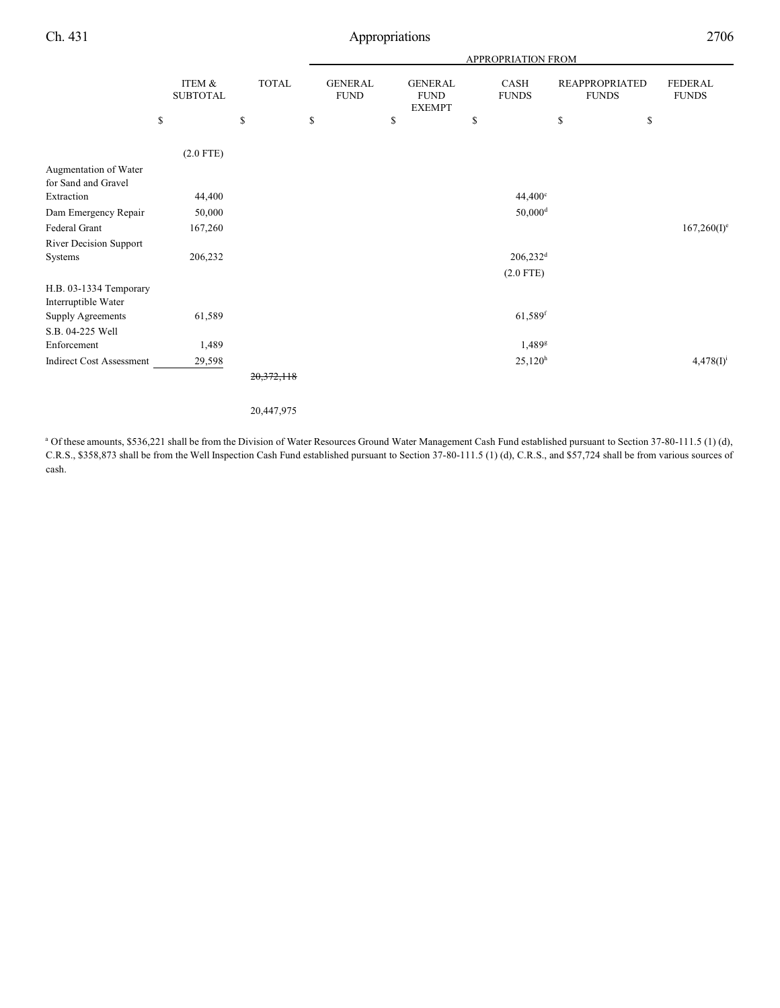|                                               |                           |              | <b>APPROPRIATION FROM</b>     |    |                                                |                        |                                       |    |                                |
|-----------------------------------------------|---------------------------|--------------|-------------------------------|----|------------------------------------------------|------------------------|---------------------------------------|----|--------------------------------|
|                                               | ITEM &<br><b>SUBTOTAL</b> | <b>TOTAL</b> | <b>GENERAL</b><br><b>FUND</b> |    | <b>GENERAL</b><br><b>FUND</b><br><b>EXEMPT</b> | CASH<br><b>FUNDS</b>   | <b>REAPPROPRIATED</b><br><b>FUNDS</b> |    | <b>FEDERAL</b><br><b>FUNDS</b> |
|                                               | \$                        | \$           | \$                            | \$ | \$                                             |                        | \$                                    | \$ |                                |
|                                               | $(2.0$ FTE)               |              |                               |    |                                                |                        |                                       |    |                                |
| Augmentation of Water                         |                           |              |                               |    |                                                |                        |                                       |    |                                |
| for Sand and Gravel                           |                           |              |                               |    |                                                |                        |                                       |    |                                |
| Extraction                                    | 44,400                    |              |                               |    |                                                | $44,400^{\circ}$       |                                       |    |                                |
| Dam Emergency Repair                          | 50,000                    |              |                               |    |                                                | $50,000$ <sup>d</sup>  |                                       |    |                                |
| Federal Grant                                 | 167,260                   |              |                               |    |                                                |                        |                                       |    | $167,260(I)^e$                 |
| River Decision Support                        |                           |              |                               |    |                                                |                        |                                       |    |                                |
| Systems                                       | 206,232                   |              |                               |    |                                                | $206,232$ <sup>d</sup> |                                       |    |                                |
|                                               |                           |              |                               |    |                                                | $(2.0$ FTE)            |                                       |    |                                |
| H.B. 03-1334 Temporary<br>Interruptible Water |                           |              |                               |    |                                                |                        |                                       |    |                                |
| Supply Agreements                             | 61,589                    |              |                               |    |                                                | $61,589$ <sup>f</sup>  |                                       |    |                                |
| S.B. 04-225 Well                              |                           |              |                               |    |                                                |                        |                                       |    |                                |
| Enforcement                                   | 1,489                     |              |                               |    |                                                | $1,489$ <sup>g</sup>   |                                       |    |                                |
| <b>Indirect Cost Assessment</b>               | 29,598                    |              |                               |    |                                                | 25,120 <sup>h</sup>    |                                       |    | $4,478(I)^{i}$                 |
|                                               |                           | 0.0000000000 |                               |    |                                                |                        |                                       |    |                                |

20,372,118

#### 20,447,975

<sup>a</sup> Of these amounts, \$536,221 shall be from the Division of Water Resources Ground Water Management Cash Fund established pursuant to Section 37-80-111.5 (1) (d), C.R.S., \$358,873 shall be from the Well Inspection Cash Fund established pursuant to Section 37-80-111.5 (1) (d), C.R.S., and \$57,724 shall be from various sources of cash.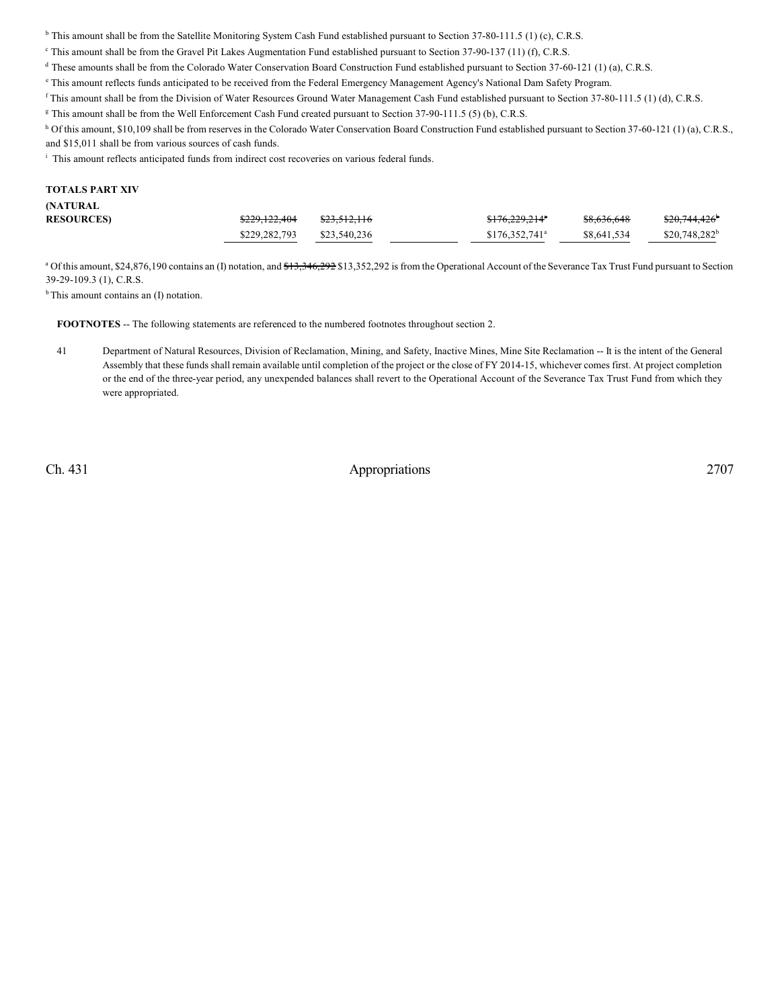<sup>b</sup> This amount shall be from the Satellite Monitoring System Cash Fund established pursuant to Section 37-80-111.5 (1) (c), C.R.S.

- <sup>c</sup> This amount shall be from the Gravel Pit Lakes Augmentation Fund established pursuant to Section 37-90-137 (11) (f), C.R.S.
- $d$  These amounts shall be from the Colorado Water Conservation Board Construction Fund established pursuant to Section 37-60-121 (1) (a), C.R.S.
- <sup>e</sup> This amount reflects funds anticipated to be received from the Federal Emergency Management Agency's National Dam Safety Program.
- <sup>f</sup> This amount shall be from the Division of Water Resources Ground Water Management Cash Fund established pursuant to Section 37-80-111.5 (1) (d), C.R.S.
- <sup>g</sup> This amount shall be from the Well Enforcement Cash Fund created pursuant to Section 37-90-111.5 (5) (b), C.R.S.
- <sup>h</sup> Of this amount, \$10,109 shall be from reserves in the Colorado Water Conservation Board Construction Fund established pursuant to Section 37-60-121 (1) (a), C.R.S., and \$15,011 shall be from various sources of cash funds.
- <sup>i</sup> This amount reflects anticipated funds from indirect cost recoveries on various federal funds.

#### **TOTALS PART XIV (NATURAL RESOURCES)** \$229,122,404 \$23,512,116 \$8,576,229,214 \$8,636,648 \$20,744,426  $$176,229,214"$   $$8,636,648$   $$20,744$ \$229,282,793 \$23,540,236 \$176,352,741<sup>ª</sup> \$8,641,534  $$20,748,282$ <sup>b</sup>

<sup>a</sup> Of this amount, \$24,876,190 contains an (I) notation, and <del>\$13,346,292</del> \$13,352,292 is from the Operational Account of the Severance Tax Trust Fund pursuant to Section 39-29-109.3 (1), C.R.S.

<sup>b</sup> This amount contains an (I) notation.

**FOOTNOTES** -- The following statements are referenced to the numbered footnotes throughout section 2.

41 Department of Natural Resources, Division of Reclamation, Mining, and Safety, Inactive Mines, Mine Site Reclamation -- It is the intent of the General Assembly that these funds shall remain available until completion of the project or the close of FY 2014-15, whichever comes first. At project completion or the end of the three-year period, any unexpended balances shall revert to the Operational Account of the Severance Tax Trust Fund from which they were appropriated.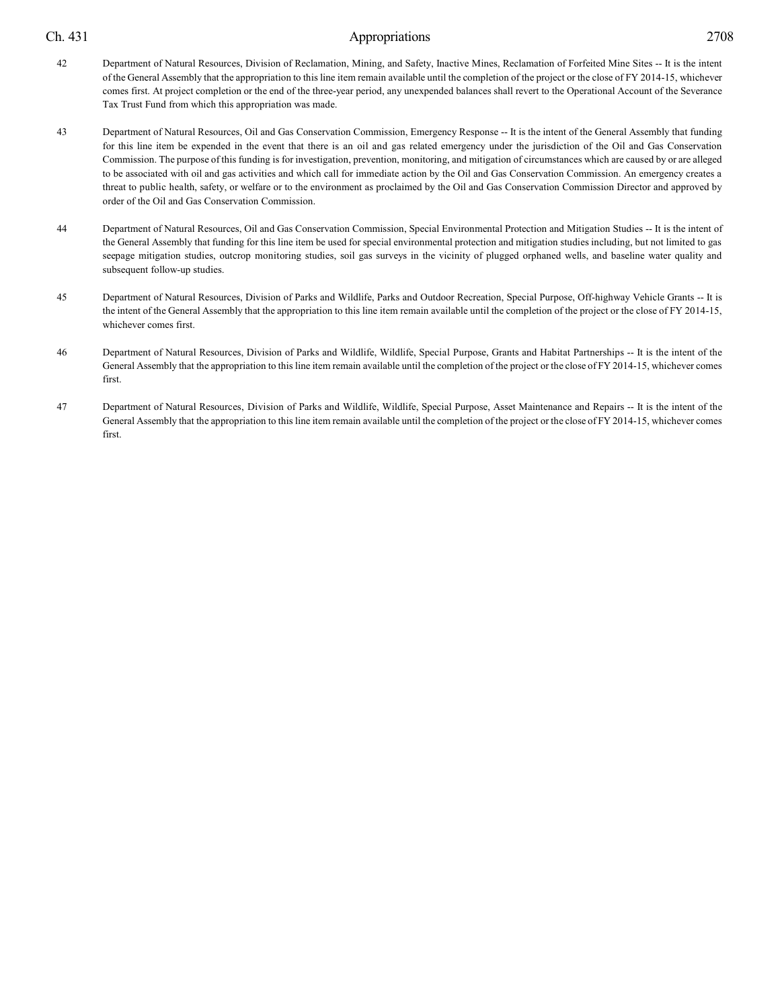- 42 Department of Natural Resources, Division of Reclamation, Mining, and Safety, Inactive Mines, Reclamation of Forfeited Mine Sites -- It is the intent of the General Assembly that the appropriation to this line item remain available until the completion of the project or the close of FY 2014-15, whichever comes first. At project completion or the end of the three-year period, any unexpended balances shall revert to the Operational Account of the Severance Tax Trust Fund from which this appropriation was made.
- 43 Department of Natural Resources, Oil and Gas Conservation Commission, Emergency Response -- It is the intent of the General Assembly that funding for this line item be expended in the event that there is an oil and gas related emergency under the jurisdiction of the Oil and Gas Conservation Commission. The purpose of this funding is for investigation, prevention, monitoring, and mitigation of circumstances which are caused by or are alleged to be associated with oil and gas activities and which call for immediate action by the Oil and Gas Conservation Commission. An emergency creates a threat to public health, safety, or welfare or to the environment as proclaimed by the Oil and Gas Conservation Commission Director and approved by order of the Oil and Gas Conservation Commission.
- 44 Department of Natural Resources, Oil and Gas Conservation Commission, Special Environmental Protection and Mitigation Studies -- It is the intent of the General Assembly that funding for this line item be used for special environmental protection and mitigation studies including, but not limited to gas seepage mitigation studies, outcrop monitoring studies, soil gas surveys in the vicinity of plugged orphaned wells, and baseline water quality and subsequent follow-up studies.
- 45 Department of Natural Resources, Division of Parks and Wildlife, Parks and Outdoor Recreation, Special Purpose, Off-highway Vehicle Grants -- It is the intent of the General Assembly that the appropriation to this line item remain available until the completion of the project or the close of FY 2014-15, whichever comes first.
- 46 Department of Natural Resources, Division of Parks and Wildlife, Wildlife, Special Purpose, Grants and Habitat Partnerships -- It is the intent of the General Assembly that the appropriation to this line item remain available until the completion of the project or the close of FY 2014-15, whichever comes first.
- 47 Department of Natural Resources, Division of Parks and Wildlife, Wildlife, Special Purpose, Asset Maintenance and Repairs -- It is the intent of the General Assembly that the appropriation to this line item remain available until the completion of the project or the close of FY 2014-15, whichever comes first.